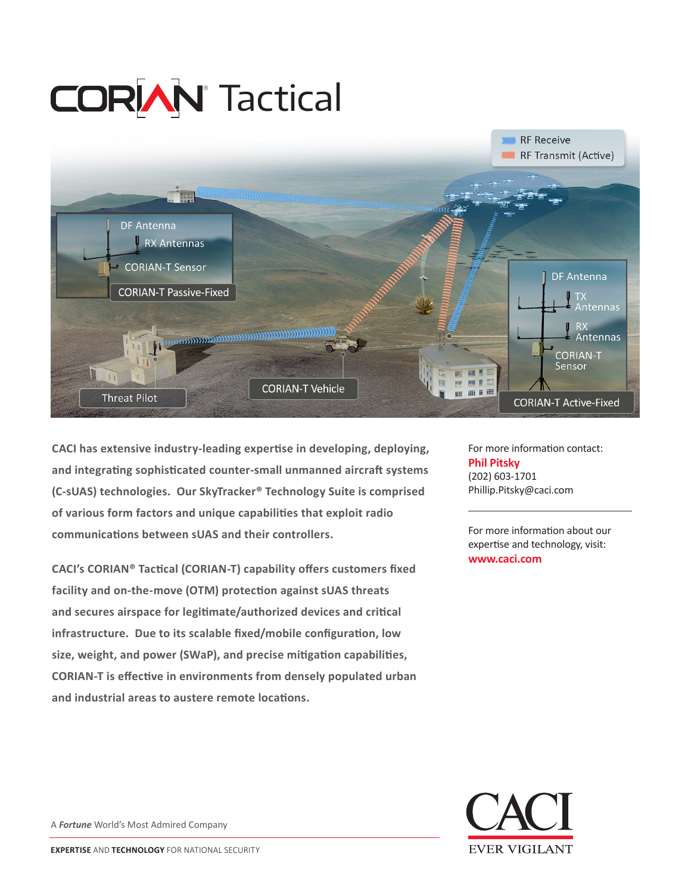# **CORIAN** Tactical



**CACI has extensive industry-leading expertise in developing, deploying, and integrating sophisticated counter-small unmanned aircraft systems (C-sUAS) technologies. Our SkyTracker® Technology Suite is comprised of various form factors and unique capabilities that exploit radio communications between sUAS and their controllers.** 

**CACI's CORIAN® Tactical (CORIAN-T) capability offers customers fixed facility and on-the-move (OTM) protection against sUAS threats and secures airspace for legitimate/authorized devices and critical infrastructure. Due to its scalable fixed/mobile configuration, low size, weight, and power (SWaP), and precise mitigation capabilities, CORIAN-T is effective in environments from densely populated urban and industrial areas to austere remote locations.**

For more information contact: **Phil Pitsky** (202) 603-1701 Phillip.Pitsky@caci.com

For more information about our expertise and technology, visit: **www.caci.com**



A *Fortune* World's Most Admired Company